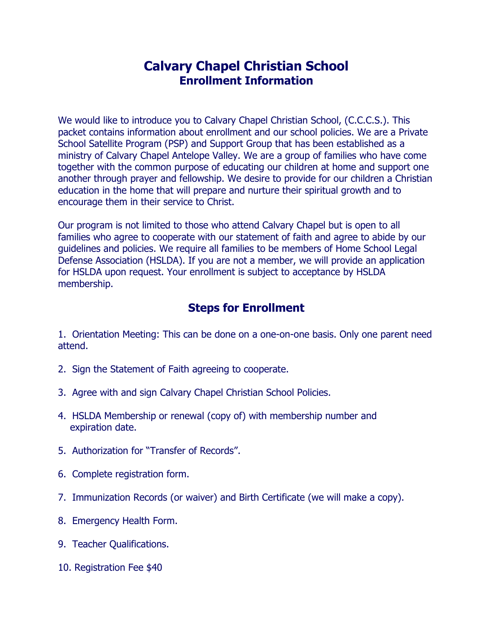# **Calvary Chapel Christian School Enrollment Information**

We would like to introduce you to Calvary Chapel Christian School, (C.C.C.S.). This packet contains information about enrollment and our school policies. We are a Private School Satellite Program (PSP) and Support Group that has been established as a ministry of Calvary Chapel Antelope Valley. We are a group of families who have come together with the common purpose of educating our children at home and support one another through prayer and fellowship. We desire to provide for our children a Christian education in the home that will prepare and nurture their spiritual growth and to encourage them in their service to Christ.

Our program is not limited to those who attend Calvary Chapel but is open to all families who agree to cooperate with our statement of faith and agree to abide by our guidelines and policies. We require all families to be members of Home School Legal Defense Association (HSLDA). If you are not a member, we will provide an application for HSLDA upon request. Your enrollment is subject to acceptance by HSLDA membership.

## **Steps for Enrollment**

1. Orientation Meeting: This can be done on a one-on-one basis. Only one parent need attend.

- 2. Sign the Statement of Faith agreeing to cooperate.
- 3. Agree with and sign Calvary Chapel Christian School Policies.
- 4. HSLDA Membership or renewal (copy of) with membership number and expiration date.
- 5. Authorization for "Transfer of Records".
- 6. Complete registration form.
- 7. Immunization Records (or waiver) and Birth Certificate (we will make a copy).
- 8. Emergency Health Form.
- 9. Teacher Qualifications.
- 10. Registration Fee \$40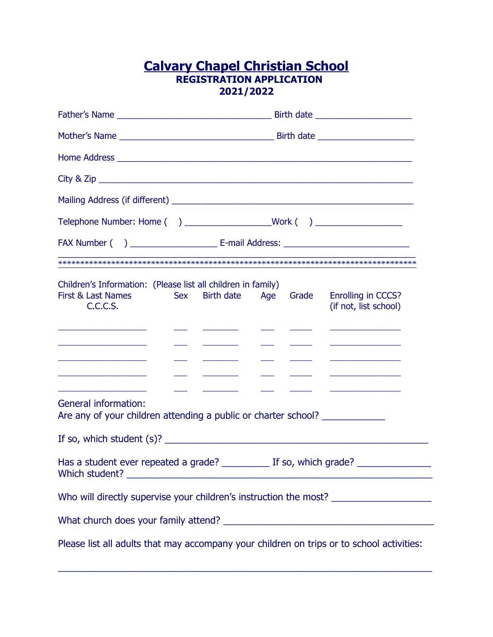## **Calvary Chapel Christian School REGISTRATION APPLICATION 2021/2022**

| Children's Information: (Please list all children in family)<br>Sex Birth date Age Grade<br>First & Last Names<br>C.C.C.S.<br><u> Alexandria de la contrada de la contrada de la contrada de la contrada de la contrada de la contrada de la c</u><br><u> Alexandria de la contrada de la contrada de la contrada de la contrada de la contrada de la contrada de la c</u><br><u> Alexandria (Alexandria Alexandria Alexandria Alexandria Alexandria Alexandria Alexandria Alexandria Alexandri</u> | <b>Enrolling in CCCS?</b><br>(if not, list school)<br><u> 1989 - Johann John Harrison, markin a</u><br><u> 1980 - Andrea Station (b. 1980)</u><br><u> 1980 - Andrea State Barbara, amerikan personal di sebagai personal di sebagai personal di sebagai personal di</u> |
|-----------------------------------------------------------------------------------------------------------------------------------------------------------------------------------------------------------------------------------------------------------------------------------------------------------------------------------------------------------------------------------------------------------------------------------------------------------------------------------------------------|-------------------------------------------------------------------------------------------------------------------------------------------------------------------------------------------------------------------------------------------------------------------------|
| <u> 1989 - Johann John Stone, mars et al. (</u><br><b>General information:</b>                                                                                                                                                                                                                                                                                                                                                                                                                      | <u> 1989 - Andrea Station Barbara, amerikan personal (h. 1989).</u><br><u> 1986 - Andrea State Barbara, amerikan ba</u>                                                                                                                                                 |
| Are any of your children attending a public or charter school? _________________                                                                                                                                                                                                                                                                                                                                                                                                                    |                                                                                                                                                                                                                                                                         |
| If so, which student (s)? $\frac{1}{2}$ [150] $\frac{1}{2}$ [150] $\frac{1}{2}$ [150] $\frac{1}{2}$ [150] $\frac{1}{2}$ [150] $\frac{1}{2}$ [150] $\frac{1}{2}$ [150] $\frac{1}{2}$ [150] $\frac{1}{2}$ [150] $\frac{1}{2}$ [150] $\frac{1}{2}$ [150] $\frac{1}{2}$ [150] $\frac$                                                                                                                                                                                                                   |                                                                                                                                                                                                                                                                         |
| Has a student ever repeated a grade? ___________ If so, which grade? ____________                                                                                                                                                                                                                                                                                                                                                                                                                   |                                                                                                                                                                                                                                                                         |
| Who will directly supervise your children's instruction the most? _______________                                                                                                                                                                                                                                                                                                                                                                                                                   |                                                                                                                                                                                                                                                                         |
|                                                                                                                                                                                                                                                                                                                                                                                                                                                                                                     |                                                                                                                                                                                                                                                                         |
| Please list all adults that may accompany your children on trips or to school activities:                                                                                                                                                                                                                                                                                                                                                                                                           |                                                                                                                                                                                                                                                                         |

\_\_\_\_\_\_\_\_\_\_\_\_\_\_\_\_\_\_\_\_\_\_\_\_\_\_\_\_\_\_\_\_\_\_\_\_\_\_\_\_\_\_\_\_\_\_\_\_\_\_\_\_\_\_\_\_\_\_\_\_\_\_\_\_\_\_\_\_\_\_\_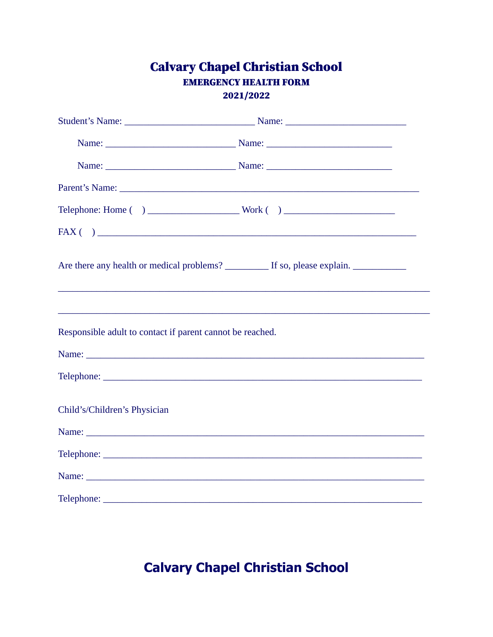## **Calvary Chapel Christian School EMERGENCY HEALTH FORM** 2021/2022

|                                                           | FAX( ) |
|-----------------------------------------------------------|--------|
|                                                           |        |
|                                                           |        |
| Responsible adult to contact if parent cannot be reached. |        |
|                                                           |        |
|                                                           |        |
| Child's/Children's Physician                              |        |
|                                                           |        |
|                                                           |        |
|                                                           |        |
|                                                           |        |

# **Calvary Chapel Christian School**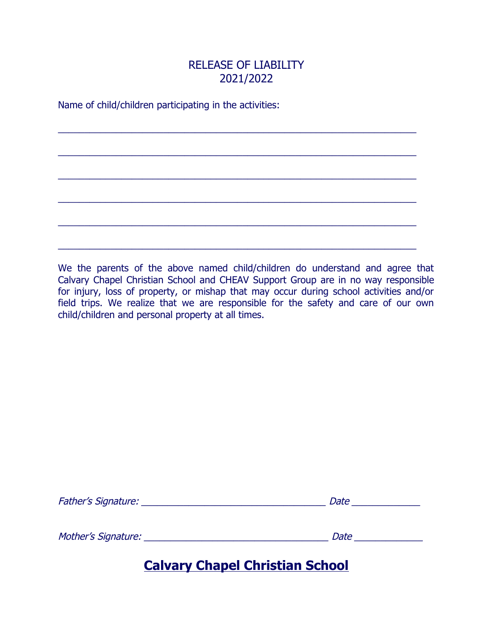## RELEASE OF LIABILITY 2021/2022

 $\_$  ,  $\_$  ,  $\_$  ,  $\_$  ,  $\_$  ,  $\_$  ,  $\_$  ,  $\_$  ,  $\_$  ,  $\_$  ,  $\_$  ,  $\_$  ,  $\_$  ,  $\_$  ,  $\_$  ,  $\_$  ,  $\_$  ,  $\_$  ,  $\_$  ,  $\_$  ,  $\_$  ,  $\_$  ,  $\_$  ,  $\_$  ,  $\_$  ,  $\_$  ,  $\_$  ,  $\_$  ,  $\_$  ,  $\_$  ,  $\_$  ,  $\_$  ,  $\_$  ,  $\_$  ,  $\_$  ,  $\_$  ,  $\_$  ,

\_\_\_\_\_\_\_\_\_\_\_\_\_\_\_\_\_\_\_\_\_\_\_\_\_\_\_\_\_\_\_\_\_\_\_\_\_\_\_\_\_\_\_\_\_\_\_\_\_\_\_\_\_\_\_\_\_\_\_\_\_\_\_\_\_\_\_\_

\_\_\_\_\_\_\_\_\_\_\_\_\_\_\_\_\_\_\_\_\_\_\_\_\_\_\_\_\_\_\_\_\_\_\_\_\_\_\_\_\_\_\_\_\_\_\_\_\_\_\_\_\_\_\_\_\_\_\_\_\_\_\_\_\_\_\_\_

 $\_$  ,  $\_$  ,  $\_$  ,  $\_$  ,  $\_$  ,  $\_$  ,  $\_$  ,  $\_$  ,  $\_$  ,  $\_$  ,  $\_$  ,  $\_$  ,  $\_$  ,  $\_$  ,  $\_$  ,  $\_$  ,  $\_$  ,  $\_$  ,  $\_$  ,  $\_$  ,  $\_$  ,  $\_$  ,  $\_$  ,  $\_$  ,  $\_$  ,  $\_$  ,  $\_$  ,  $\_$  ,  $\_$  ,  $\_$  ,  $\_$  ,  $\_$  ,  $\_$  ,  $\_$  ,  $\_$  ,  $\_$  ,  $\_$  ,

\_\_\_\_\_\_\_\_\_\_\_\_\_\_\_\_\_\_\_\_\_\_\_\_\_\_\_\_\_\_\_\_\_\_\_\_\_\_\_\_\_\_\_\_\_\_\_\_\_\_\_\_\_\_\_\_\_\_\_\_\_\_\_\_\_\_\_\_

\_\_\_\_\_\_\_\_\_\_\_\_\_\_\_\_\_\_\_\_\_\_\_\_\_\_\_\_\_\_\_\_\_\_\_\_\_\_\_\_\_\_\_\_\_\_\_\_\_\_\_\_\_\_\_\_\_\_\_\_\_\_\_\_\_\_\_\_

Name of child/children participating in the activities:

We the parents of the above named child/children do understand and agree that Calvary Chapel Christian School and CHEAV Support Group are in no way responsible for injury, loss of property, or mishap that may occur during school activities and/or field trips. We realize that we are responsible for the safety and care of our own child/children and personal property at all times.

| <b>Father's Signature:</b> | Date |  |  |  |
|----------------------------|------|--|--|--|
|                            |      |  |  |  |
|                            |      |  |  |  |
| Mother's Signature:        | Date |  |  |  |

# **Calvary Chapel Christian School**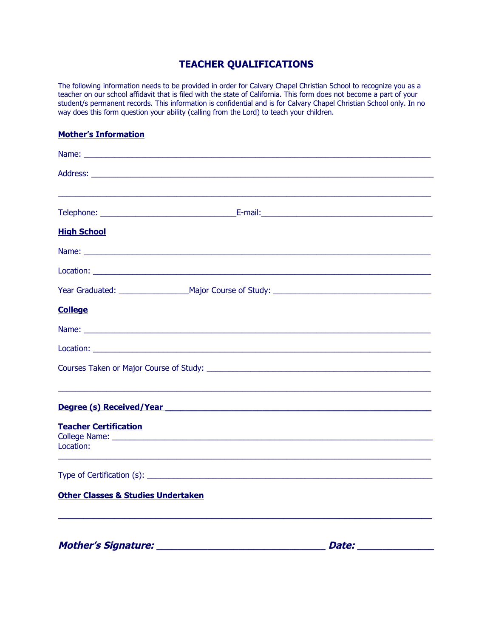## **TEACHER QUALIFICATIONS**

The following information needs to be provided in order for Calvary Chapel Christian School to recognize you as a teacher on our school affidavit that is filed with the state of California. This form does not become a part of your student/s permanent records. This information is confidential and is for Calvary Chapel Christian School only. In no way does this form question your ability (calling from the Lord) to teach your children.

#### **Mother's Information**

| <b>High School</b>                                                                                                                                                                                                                   |
|--------------------------------------------------------------------------------------------------------------------------------------------------------------------------------------------------------------------------------------|
|                                                                                                                                                                                                                                      |
|                                                                                                                                                                                                                                      |
|                                                                                                                                                                                                                                      |
| <b>College</b>                                                                                                                                                                                                                       |
|                                                                                                                                                                                                                                      |
|                                                                                                                                                                                                                                      |
|                                                                                                                                                                                                                                      |
|                                                                                                                                                                                                                                      |
| <u>Degree (s) Received/Year and the control of the control of the control of the control of the control of the control of the control of the control of the control of the control of the control of the control of the control </u> |
| <b>Teacher Certification</b><br>Location:                                                                                                                                                                                            |
|                                                                                                                                                                                                                                      |
|                                                                                                                                                                                                                                      |
| <b>Other Classes &amp; Studies Undertaken</b>                                                                                                                                                                                        |
|                                                                                                                                                                                                                                      |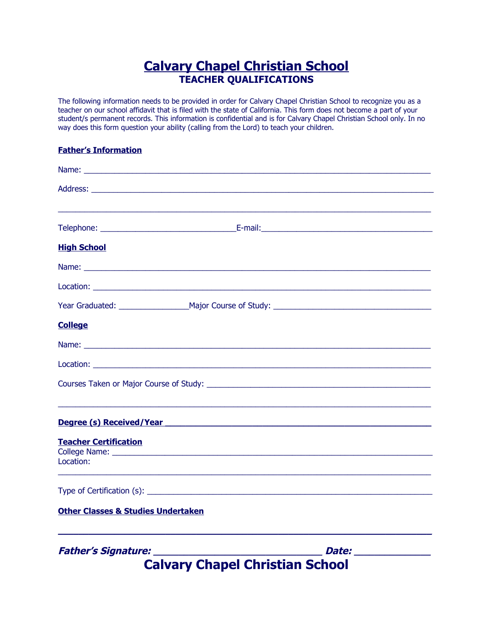# **Calvary Chapel Christian School TEACHER QUALIFICATIONS**

The following information needs to be provided in order for Calvary Chapel Christian School to recognize you as a teacher on our school affidavit that is filed with the state of California. This form does not become a part of your student/s permanent records. This information is confidential and is for Calvary Chapel Christian School only. In no way does this form question your ability (calling from the Lord) to teach your children.

#### **Father's Information**

| <b>High School</b>                                                                                                                                                                                                                   |
|--------------------------------------------------------------------------------------------------------------------------------------------------------------------------------------------------------------------------------------|
|                                                                                                                                                                                                                                      |
|                                                                                                                                                                                                                                      |
|                                                                                                                                                                                                                                      |
| <b>College</b>                                                                                                                                                                                                                       |
| Name: Name: Name: Name: Name: Name: Name: Name: Name: Name: Name: Name: Name: Name: Name: Name: Name: Name: Name: Name: Name: Name: Name: Name: Name: Name: Name: Name: Name: Name: Name: Name: Name: Name: Name: Name: Name:        |
|                                                                                                                                                                                                                                      |
|                                                                                                                                                                                                                                      |
|                                                                                                                                                                                                                                      |
| <b>Degree (s) Received/Year entitled and all analysis of the contract of the contract of the contract of the contract of the contract of the contract of the contract of the contract of the contract of the contract of the con</b> |
| <b>Teacher Certification</b>                                                                                                                                                                                                         |
| Location:                                                                                                                                                                                                                            |
|                                                                                                                                                                                                                                      |
|                                                                                                                                                                                                                                      |
| <b>Other Classes &amp; Studies Undertaken</b>                                                                                                                                                                                        |
| <b>Father's Signature:</b><br>Date: _______________<br><b>Calvary Chapel Christian School</b>                                                                                                                                        |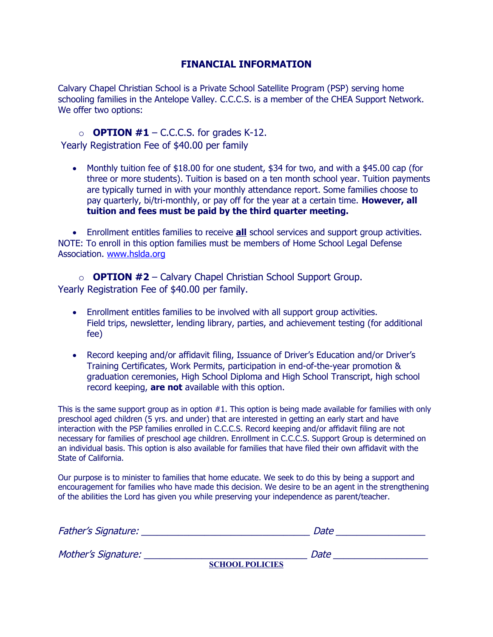### **FINANCIAL INFORMATION**

Calvary Chapel Christian School is a Private School Satellite Program (PSP) serving home schooling families in the Antelope Valley. C.C.C.S. is a member of the CHEA Support Network. We offer two options:

### $\circ$  **OPTION #1** – C.C.C.S. for grades K-12.

Yearly Registration Fee of \$40.00 per family

• Monthly tuition fee of \$18.00 for one student, \$34 for two, and with a \$45.00 cap (for three or more students). Tuition is based on a ten month school year. Tuition payments are typically turned in with your monthly attendance report. Some families choose to pay quarterly, bi/tri-monthly, or pay off for the year at a certain time. **However, all tuition and fees must be paid by the third quarter meeting.**

 Enrollment entitles families to receive **all** school services and support group activities. NOTE: To enroll in this option families must be members of Home School Legal Defense Association. [www.hslda.org](http://www.hslda.org/)

o **OPTION #2** – Calvary Chapel Christian School Support Group. Yearly Registration Fee of \$40.00 per family.

- Enrollment entitles families to be involved with all support group activities. Field trips, newsletter, lending library, parties, and achievement testing (for additional fee)
- Record keeping and/or affidavit filing, Issuance of Driver's Education and/or Driver's Training Certificates, Work Permits, participation in end-of-the-year promotion & graduation ceremonies, High School Diploma and High School Transcript, high school record keeping, **are not** available with this option.

This is the same support group as in option  $#1$ . This option is being made available for families with only preschool aged children (5 yrs. and under) that are interested in getting an early start and have interaction with the PSP families enrolled in C.C.C.S. Record keeping and/or affidavit filing are not necessary for families of preschool age children. Enrollment in C.C.C.S. Support Group is determined on an individual basis. This option is also available for families that have filed their own affidavit with the State of California.

Our purpose is to minister to families that home educate. We seek to do this by being a support and encouragement for families who have made this decision. We desire to be an agent in the strengthening of the abilities the Lord has given you while preserving your independence as parent/teacher.

| <b>Father's Signature:</b> | Date                   |
|----------------------------|------------------------|
| Mother's Signature:        | Date                   |
|                            | <b>SCHOOL POLICIES</b> |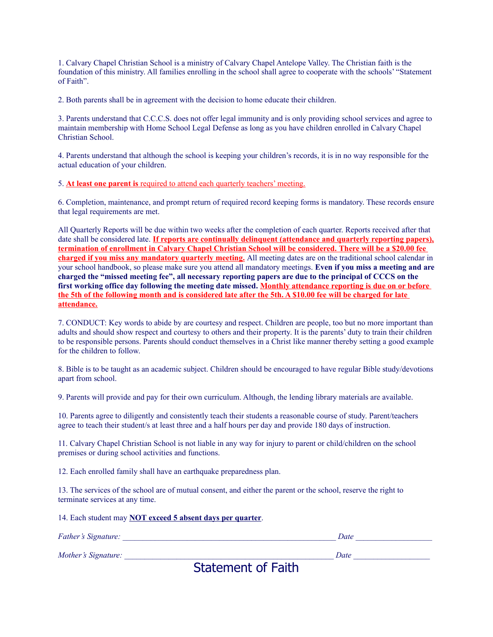1. Calvary Chapel Christian School is a ministry of Calvary Chapel Antelope Valley. The Christian faith is the foundation of this ministry. All families enrolling in the school shall agree to cooperate with the schools' "Statement of Faith".

2. Both parents shall be in agreement with the decision to home educate their children.

3. Parents understand that C.C.C.S. does not offer legal immunity and is only providing school services and agree to maintain membership with Home School Legal Defense as long as you have children enrolled in Calvary Chapel Christian School.

4. Parents understand that although the school is keeping your children's records, it is in no way responsible for the actual education of your children.

5. **At least one parent is** required to attend each quarterly teachers' meeting.

6. Completion, maintenance, and prompt return of required record keeping forms is mandatory. These records ensure that legal requirements are met.

All Quarterly Reports will be due within two weeks after the completion of each quarter. Reports received after that date shall be considered late. **If reports are continually delinquent (attendance and quarterly reporting papers), termination of enrollment in Calvary Chapel Christian School will be considered. There will be a \$20.00 fee charged if you miss any mandatory quarterly meeting.** All meeting dates are on the traditional school calendar in your school handbook, so please make sure you attend all mandatory meetings. **Even if you miss a meeting and are charged the "missed meeting fee", all necessary reporting papers are due to the principal of CCCS on the first working office day following the meeting date missed. Monthly attendance reporting is due on or before the 5th of the following month and is considered late after the 5th. A \$10.00 fee will be charged for late attendance.**

7. CONDUCT: Key words to abide by are courtesy and respect. Children are people, too but no more important than adults and should show respect and courtesy to others and their property. It is the parents' duty to train their children to be responsible persons. Parents should conduct themselves in a Christ like manner thereby setting a good example for the children to follow.

8. Bible is to be taught as an academic subject. Children should be encouraged to have regular Bible study/devotions apart from school.

9. Parents will provide and pay for their own curriculum. Although, the lending library materials are available.

10. Parents agree to diligently and consistently teach their students a reasonable course of study. Parent/teachers agree to teach their student/s at least three and a half hours per day and provide 180 days of instruction.

11. Calvary Chapel Christian School is not liable in any way for injury to parent or child/children on the school premises or during school activities and functions.

12. Each enrolled family shall have an earthquake preparedness plan.

13. The services of the school are of mutual consent, and either the parent or the school, reserve the right to terminate services at any time.

|  |  |  |  | 14. Each student may <b>NOT</b> exceed 5 absent days per quarter. |  |
|--|--|--|--|-------------------------------------------------------------------|--|
|  |  |  |  |                                                                   |  |

| Father's Signature: |     | Date |  |
|---------------------|-----|------|--|
| Mother's Signature: | ___ | Date |  |

Statement of Faith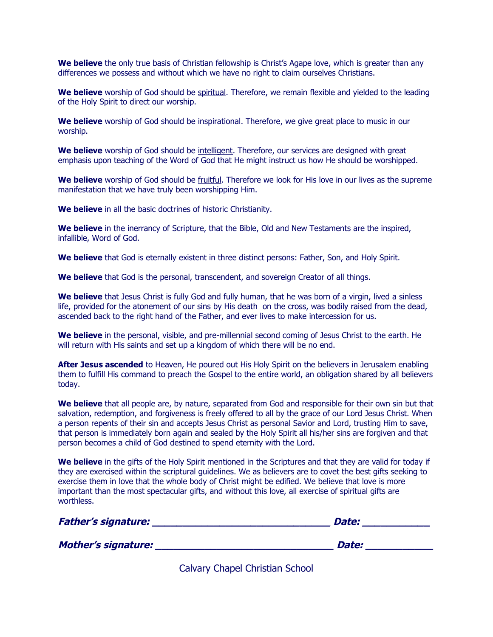**We believe** the only true basis of Christian fellowship is Christ's Agape love, which is greater than any differences we possess and without which we have no right to claim ourselves Christians.

We believe worship of God should be spiritual. Therefore, we remain flexible and yielded to the leading of the Holy Spirit to direct our worship.

**We believe** worship of God should be inspirational. Therefore, we give great place to music in our worship.

**We believe** worship of God should be intelligent. Therefore, our services are designed with great emphasis upon teaching of the Word of God that He might instruct us how He should be worshipped.

**We believe** worship of God should be fruitful. Therefore we look for His love in our lives as the supreme manifestation that we have truly been worshipping Him.

**We believe** in all the basic doctrines of historic Christianity.

**We believe** in the inerrancy of Scripture, that the Bible, Old and New Testaments are the inspired, infallible, Word of God.

**We believe** that God is eternally existent in three distinct persons: Father, Son, and Holy Spirit.

**We believe** that God is the personal, transcendent, and sovereign Creator of all things.

**We believe** that Jesus Christ is fully God and fully human, that he was born of a virgin, lived a sinless life, provided for the atonement of our sins by His death on the cross, was bodily raised from the dead, ascended back to the right hand of the Father, and ever lives to make intercession for us.

**We believe** in the personal, visible, and pre-millennial second coming of Jesus Christ to the earth. He will return with His saints and set up a kingdom of which there will be no end.

**After Jesus ascended** to Heaven, He poured out His Holy Spirit on the believers in Jerusalem enabling them to fulfill His command to preach the Gospel to the entire world, an obligation shared by all believers today.

**We believe** that all people are, by nature, separated from God and responsible for their own sin but that salvation, redemption, and forgiveness is freely offered to all by the grace of our Lord Jesus Christ. When a person repents of their sin and accepts Jesus Christ as personal Savior and Lord, trusting Him to save, that person is immediately born again and sealed by the Holy Spirit all his/her sins are forgiven and that person becomes a child of God destined to spend eternity with the Lord.

**We believe** in the gifts of the Holy Spirit mentioned in the Scriptures and that they are valid for today if they are exercised within the scriptural guidelines. We as believers are to covet the best gifts seeking to exercise them in love that the whole body of Christ might be edified. We believe that love is more important than the most spectacular gifts, and without this love, all exercise of spiritual gifts are worthless.

| <b>Father's signature:</b> | <b>Date:</b> |
|----------------------------|--------------|
| <b>Mother's signature:</b> | Date:        |

Calvary Chapel Christian School